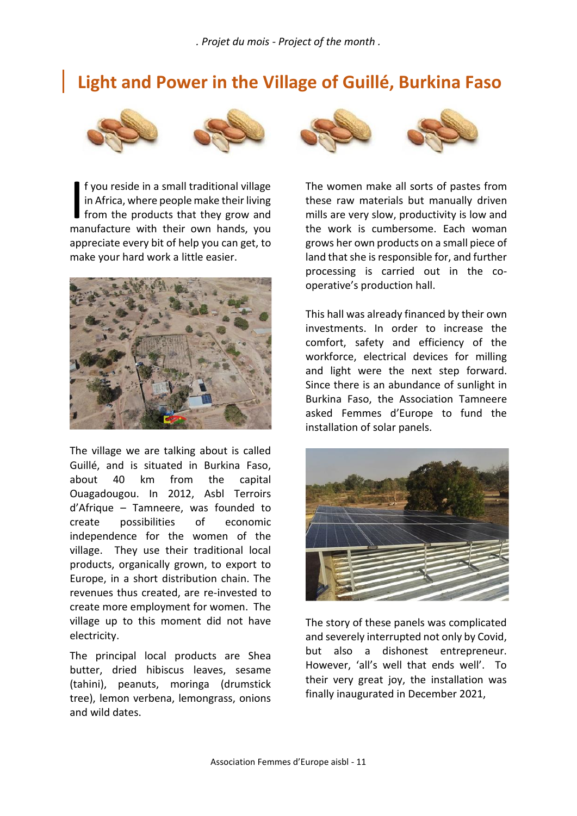## **Light and Power in the Village of Guillé, Burkina Faso**





f you reside in a small traditional village in Africa, where people make their living **f** from the products that they grow and **f** you reside in a small traditional village Their in Africa, where people make their living the from the products that they grow and manufacture with their own hands, you the appreciate every bit of help you can get, to make your hard work a little easier.



The village we are talking about is called Guillé, and is situated in Burkina Faso, about 40 km from the capital Ouagadougou. In 2012, Asbl Terroirs d'Afrique – Tamneere, was founded to create possibilities of economic independence for the women of the village. They use their traditional local products, organically grown, to export to Europe, in a short distribution chain. The revenues thus created, are re-invested to create more employment for women. The village up to this moment did not have electricity.

The principal local products are Shea butter, dried hibiscus leaves, sesame (tahini), peanuts, moringa (drumstick tree), lemon verbena, lemongrass, onions and wild dates.



The women make all sorts of pastes from these raw materials but manually driven mills are very slow, productivity is low and the work is cumbersome. Each woman grows her own products on a small piece of land that she is responsible for, and further processing is carried out in the co operative's production hall.

This hall was already financed by their own investments. In order to increase the comfort, safety and efficiency of the workforce, electrical devices for milling and light were the next step forward. Since there is an abundance of sunlight in Burkina Faso, the Association Tamneere asked Femmes d'Europe to fund the installation of solar panels.



The story of these panels was complicated and severely interrupted not only by Covid, but also a dishonest entrepreneur. However, 'all's well that ends well'. To their very great joy, the installation was finally inaugurated in December 2021,